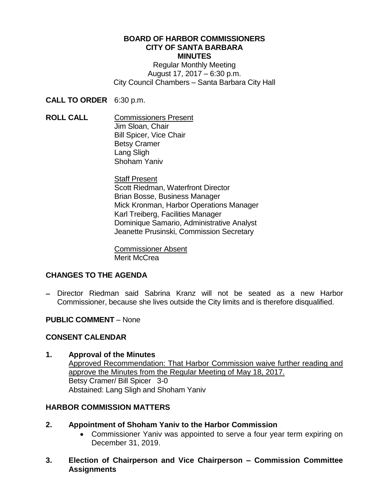#### **BOARD OF HARBOR COMMISSIONERS CITY OF SANTA BARBARA MINUTES**

Regular Monthly Meeting August 17, 2017 – 6:30 p.m. City Council Chambers – Santa Barbara City Hall

**CALL TO ORDER** 6:30 p.m.

**ROLL CALL** Commissioners Present Jim Sloan, Chair Bill Spicer, Vice Chair Betsy Cramer Lang Sligh Shoham Yaniv

> Staff Present Scott Riedman, Waterfront Director Brian Bosse, Business Manager Mick Kronman, Harbor Operations Manager Karl Treiberg, Facilities Manager Dominique Samario, Administrative Analyst Jeanette Prusinski, Commission Secretary

Commissioner Absent Merit McCrea

## **CHANGES TO THE AGENDA**

 Director Riedman said Sabrina Kranz will not be seated as a new Harbor Commissioner, because she lives outside the City limits and is therefore disqualified.

## **PUBLIC COMMENT** – None

## **CONSENT CALENDAR**

## **1. Approval of the Minutes**

Approved Recommendation: That Harbor Commission waive further reading and approve the Minutes from the Regular Meeting of May 18, 2017. Betsy Cramer/ Bill Spicer 3-0 Abstained: Lang Sligh and Shoham Yaniv

## **HARBOR COMMISSION MATTERS**

- **2. Appointment of Shoham Yaniv to the Harbor Commission**
	- Commissioner Yaniv was appointed to serve a four year term expiring on December 31, 2019.
- **3. Election of Chairperson and Vice Chairperson – Commission Committee Assignments**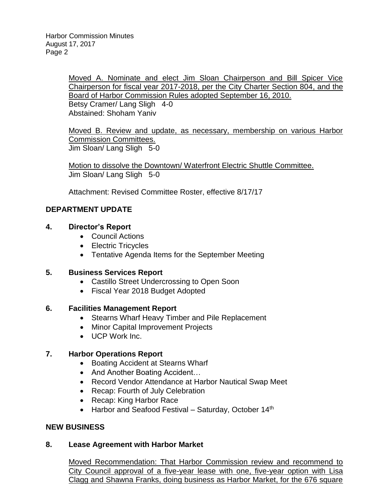Moved A. Nominate and elect Jim Sloan Chairperson and Bill Spicer Vice Chairperson for fiscal year 2017-2018, per the City Charter Section 804, and the Board of Harbor Commission Rules adopted September 16, 2010. Betsy Cramer/ Lang Sligh 4-0 Abstained: Shoham Yaniv

Moved B. Review and update, as necessary, membership on various Harbor Commission Committees. Jim Sloan/ Lang Sligh 5-0

Motion to dissolve the Downtown/ Waterfront Electric Shuttle Committee. Jim Sloan/ Lang Sligh 5-0

Attachment: Revised Committee Roster, effective 8/17/17

## **DEPARTMENT UPDATE**

#### **4. Director's Report**

- Council Actions
- Electric Tricycles
- Tentative Agenda Items for the September Meeting

#### **5. Business Services Report**

- Castillo Street Undercrossing to Open Soon
- Fiscal Year 2018 Budget Adopted

#### **6. Facilities Management Report**

- Stearns Wharf Heavy Timber and Pile Replacement
- Minor Capital Improvement Projects
- UCP Work Inc.

## **7. Harbor Operations Report**

- Boating Accident at Stearns Wharf
- And Another Boating Accident...
- Record Vendor Attendance at Harbor Nautical Swap Meet
- Recap: Fourth of July Celebration
- Recap: King Harbor Race
- $\bullet$  Harbor and Seafood Festival Saturday, October 14<sup>th</sup>

#### **NEW BUSINESS**

#### **8. Lease Agreement with Harbor Market**

Moved Recommendation: That Harbor Commission review and recommend to City Council approval of a five-year lease with one, five-year option with Lisa Clagg and Shawna Franks, doing business as Harbor Market, for the 676 square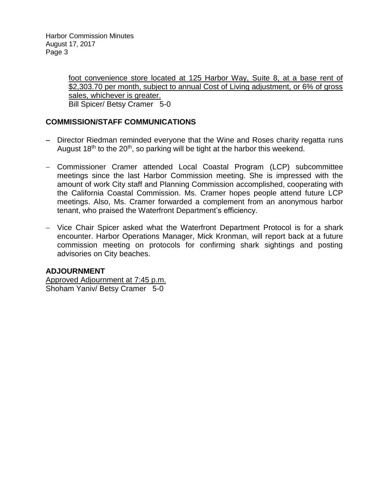Harbor Commission Minutes August 17, 2017 Page 3

> foot convenience store located at 125 Harbor Way, Suite 8, at a base rent of \$2,303.70 per month, subject to annual Cost of Living adjustment, or 6% of gross sales, whichever is greater. Bill Spicer/ Betsy Cramer 5-0

## **COMMISSION/STAFF COMMUNICATIONS**

- Director Riedman reminded everyone that the Wine and Roses charity regatta runs August 18<sup>th</sup> to the 20<sup>th</sup>, so parking will be tight at the harbor this weekend.
- Commissioner Cramer attended Local Coastal Program (LCP) subcommittee meetings since the last Harbor Commission meeting. She is impressed with the amount of work City staff and Planning Commission accomplished, cooperating with the California Coastal Commission. Ms. Cramer hopes people attend future LCP meetings. Also, Ms. Cramer forwarded a complement from an anonymous harbor tenant, who praised the Waterfront Department's efficiency.
- Vice Chair Spicer asked what the Waterfront Department Protocol is for a shark encounter. Harbor Operations Manager, Mick Kronman, will report back at a future commission meeting on protocols for confirming shark sightings and posting advisories on City beaches.

#### **ADJOURNMENT**

Approved Adjournment at 7:45 p.m. Shoham Yaniv/ Betsy Cramer 5-0